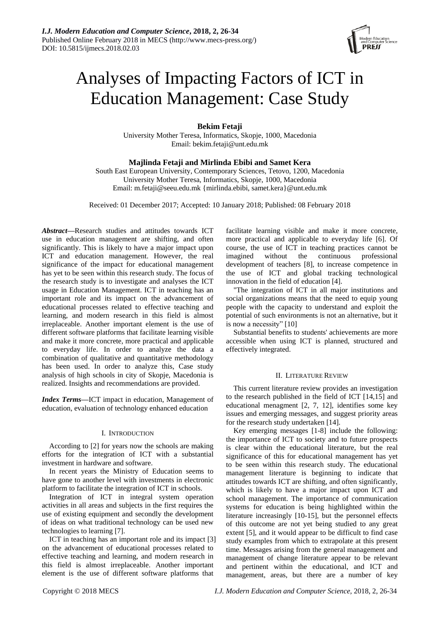

# Analyses of Impacting Factors of ICT in Education Management: Case Study

**Bekim Fetaji**

University Mother Teresa, Informatics, Skopje, 1000, Macedonia Email: bekim.fetaji@unt.edu.mk

## **Majlinda Fetaji and Mirlinda Ebibi and Samet Kera**

South East European University, Contemporary Sciences, Tetovo, 1200, Macedonia University Mother Teresa, Informatics, Skopje, 1000, Macedonia Email: m.fetaji@seeu.edu.mk {mirlinda.ebibi, samet.kera}@unt.edu.mk

Received: 01 December 2017; Accepted: 10 January 2018; Published: 08 February 2018

*Abstract***—**Research studies and attitudes towards ICT use in education management are shifting, and often significantly. This is likely to have a major impact upon ICT and education management. However, the real significance of the impact for educational management has yet to be seen within this research study. The focus of the research study is to investigate and analyses the ICT usage in Education Management. ICT in teaching has an important role and its impact on the advancement of educational processes related to effective teaching and learning, and modern research in this field is almost irreplaceable. Another important element is the use of different software platforms that facilitate learning visible and make it more concrete, more practical and applicable to everyday life. In order to analyze the data a combination of qualitative and quantitative methodology has been used. In order to analyze this, Case study analysis of high schools in city of Skopje, Macedonia is realized. Insights and recommendations are provided.

*Index Terms***—**ICT impact in education, Management of education, evaluation of technology enhanced education

#### I. INTRODUCTION

According to [2] for years now the schools are making efforts for the integration of ICT with a substantial investment in hardware and software.

In recent years the Ministry of Education seems to have gone to another level with investments in electronic platform to facilitate the integration of ICT in schools.

Integration of ICT in integral system operation activities in all areas and subjects in the first requires the use of existing equipment and secondly the development of ideas on what traditional technology can be used new technologies to learning [7].

ICT in teaching has an important role and its impact [3] on the advancement of educational processes related to effective teaching and learning, and modern research in this field is almost irreplaceable. Another important element is the use of different software platforms that

facilitate learning visible and make it more concrete, more practical and applicable to everyday life [6]. Of course, the use of ICT in teaching practices cannot be imagined without the continuous professional development of teachers [8], to increase competence in the use of ICT and global tracking technological innovation in the field of education [4].

"The integration of ICT in all major institutions and social organizations means that the need to equip young people with the capacity to understand and exploit the potential of such environments is not an alternative, but it is now a necessity" [10]

Substantial benefits to students' achievements are more accessible when using ICT is planned, structured and effectively integrated.

## II. LITERATURE REVIEW

This current literature review provides an investigation to the research published in the field of ICT [14,15] and educational menagment [2, 7, 12], identifies some key issues and emerging messages, and suggest priority areas for the research study undertaken [14].

Key emerging messages [1-8] include the following: the importance of ICT to society and to future prospects is clear within the educational literature, but the real significance of this for educational management has yet to be seen within this research study. The educational management literature is beginning to indicate that attitudes towards ICT are shifting, and often significantly, which is likely to have a major impact upon ICT and school management. The importance of communication systems for education is being highlighted within the literature increasingly [10-15], but the personnel effects of this outcome are not yet being studied to any great extent [5], and it would appear to be difficult to find case study examples from which to extrapolate at this present time. Messages arising from the general management and management of change literature appear to be relevant and pertinent within the educational, and ICT and management, areas, but there are a number of key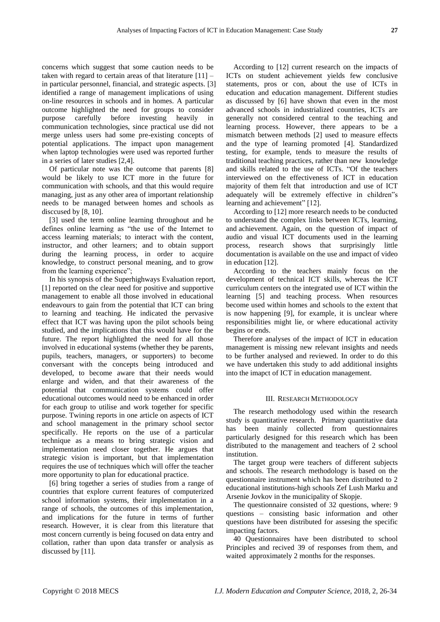concerns which suggest that some caution needs to be taken with regard to certain areas of that literature  $[11]$  – in particular personnel, financial, and strategic aspects. [3] identified a range of management implications of using on-line resources in schools and in homes. A particular outcome highlighted the need for groups to consider purpose carefully before investing heavily in communication technologies, since practical use did not merge unless users had some pre-existing concepts of potential applications. The impact upon management when laptop technologies were used was reported further in a series of later studies [2,4].

Of particular note was the outcome that parents [8] would be likely to use ICT more in the future for communication with schools, and that this would require managing, just as any other area of important relationship needs to be managed between homes and schools as disccused by [8, 10].

[3] used the term online learning throughout and he defines online learning as "the use of the Internet to access learning materials; to interact with the content, instructor, and other learners; and to obtain support during the learning process, in order to acquire knowledge, to construct personal meaning, and to grow from the learning experience";

In his synopsis of the Superhighways Evaluation report, [1] reported on the clear need for positive and supportive management to enable all those involved in educational endeavours to gain from the potential that ICT can bring to learning and teaching. He indicated the pervasive effect that ICT was having upon the pilot schools being studied, and the implications that this would have for the future. The report highlighted the need for all those involved in educational systems (whether they be parents, pupils, teachers, managers, or supporters) to become conversant with the concepts being introduced and developed, to become aware that their needs would enlarge and widen, and that their awareness of the potential that communication systems could offer educational outcomes would need to be enhanced in order for each group to utilise and work together for specific purpose. Twining reports in one article on aspects of ICT and school management in the primary school sector specifically. He reports on the use of a particular technique as a means to bring strategic vision and implementation need closer together. He argues that strategic vision is important, but that implementation requires the use of techniques which will offer the teacher more opportunity to plan for educational practice.

[6] bring together a series of studies from a range of countries that explore current features of computerized school information systems, their implementation in a range of schools, the outcomes of this implementation, and implications for the future in terms of further research. However, it is clear from this literature that most concern currently is being focused on data entry and collation, rather than upon data transfer or analysis as discussed by [11].

According to [12] current research on the impacts of ICTs on student achievement yields few conclusive statements, pros or con, about the use of ICTs in education and education management. Different studies as discussed by [6] have shown that even in the most advanced schools in industrialized countries, ICTs are generally not considered central to the teaching and learning process. However, there appears to be a mismatch between methods [2] used to measure effects and the type of learning promoted [4]. Standardized testing, for example, tends to measure the results of traditional teaching practices, rather than new knowledge and skills related to the use of ICTs. "Of the teachers interviewed on the effectiveness of ICT in education majority of them felt that introduction and use of ICT adequately will be extremely effective in children"s learning and achievement" [12].

According to [12] more research needs to be conducted to understand the complex links between ICTs, learning, and achievement. Again, on the question of impact of audio and visual ICT documents used in the learning process, research shows that surprisingly little documentation is available on the use and impact of video in education [12].

According to the teachers mainly focus on the development of technical ICT skills, whereas the ICT curriculum centers on the integrated use of ICT within the learning [5] and teaching process. When resources become used within homes and schools to the extent that is now happening [9], for example, it is unclear where responsibilities might lie, or where educational activity begins or ends.

Therefore analyses of the impact of ICT in education management is missing new relevant insights and needs to be further analysed and reviewed. In order to do this we have undertaken this study to add additional insights into the imapct of ICT in education management.

#### III. RESEARCH METHODOLOGY

The research methodology used within the research study is quantitative research. Primary quantitative data has been mainly collected from questionnaires particularly designed for this research which has been distributed to the management and teachers of 2 school institution.

The target group were teachers of different subjects and schools. The research methodology is based on the questionnaire instrument which has been distributed to 2 educational institutions-high schools Zef Lush Marku and Arsenie Jovkov in the municipality of Skopje.

The questionnaire consisted of 32 questions, where: 9 questions – consisting basic information and other questions have been distributed for assesing the specific impacting factors.

40 Questionnaires have been distributed to school Principles and recived 39 of responses from them, and waited approximately 2 months for the responses.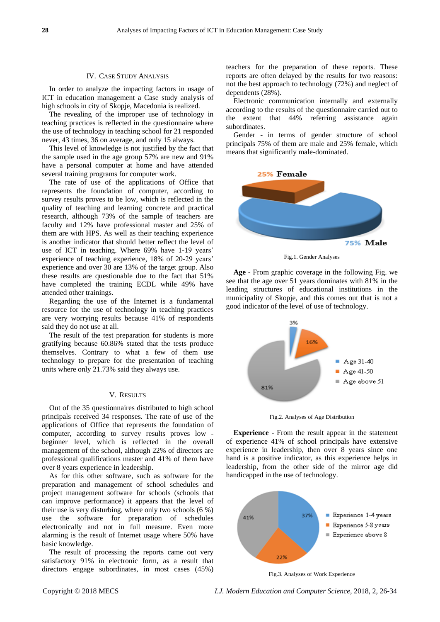### IV. CASE STUDY ANALYSIS

In order to analyze the impacting factors in usage of ICT in education management a Case study analysis of high schools in city of Skopje, Macedonia is realized.

The revealing of the improper use of technology in teaching practices is reflected in the questionnaire where the use of technology in teaching school for 21 responded never, 43 times, 36 on average, and only 15 always.

This level of knowledge is not justified by the fact that the sample used in the age group 57% are new and 91% have a personal computer at home and have attended several training programs for computer work.

The rate of use of the applications of Office that represents the foundation of computer, according to survey results proves to be low, which is reflected in the quality of teaching and learning concrete and practical research, although 73% of the sample of teachers are faculty and 12% have professional master and 25% of them are with HPS. As well as their teaching experience is another indicator that should better reflect the level of use of ICT in teaching. Where 69% have 1-19 years' experience of teaching experience, 18% of 20-29 years' experience and over 30 are 13% of the target group. Also these results are questionable due to the fact that 51% have completed the training ECDL while 49% have attended other trainings.

Regarding the use of the Internet is a fundamental resource for the use of technology in teaching practices are very worrying results because 41% of respondents said they do not use at all.

The result of the test preparation for students is more gratifying because 60.86% stated that the tests produce themselves. Contrary to what a few of them use technology to prepare for the presentation of teaching units where only 21.73% said they always use.

#### V. RESULTS

Out of the 35 questionnaires distributed to high school principals received 34 responses. The rate of use of the applications of Office that represents the foundation of computer, according to survey results proves low beginner level, which is reflected in the overall management of the school, although 22% of directors are professional qualifications master and 41% of them have over 8 years experience in leadership.

As for this other software, such as software for the preparation and management of school schedules and project management software for schools (schools that can improve performance) it appears that the level of their use is very disturbing, where only two schools (6 %) use the software for preparation of schedules electronically and not in full measure. Even more alarming is the result of Internet usage where 50% have basic knowledge.

The result of processing the reports came out very satisfactory 91% in electronic form, as a result that directors engage subordinates, in most cases (45%) teachers for the preparation of these reports. These reports are often delayed by the results for two reasons: not the best approach to technology (72%) and neglect of dependents (28%).

Electronic communication internally and externally according to the results of the questionnaire carried out to the extent that 44% referring assistance again subordinates.

Gender - in terms of gender structure of school principals 75% of them are male and 25% female, which means that significantly male-dominated.



Fig.1. Gender Analyses

**Age** - From graphic coverage in the following Fig. we see that the age over 51 years dominates with 81% in the leading structures of educational institutions in the municipality of Skopje, and this comes out that is not a good indicator of the level of use of technology.



Fig.2. Analyses of Age Distribution

**Experience** - From the result appear in the statement of experience 41% of school principals have extensive experience in leadership, then over 8 years since one hand is a positive indicator, as this experience helps in leadership, from the other side of the mirror age did handicapped in the use of technology.



Fig.3. Analyses of Work Experience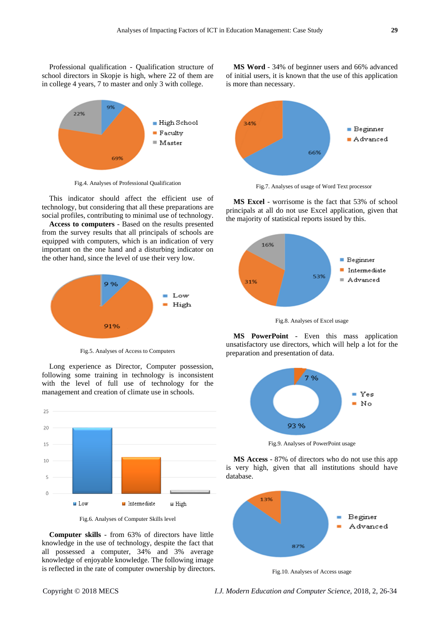Professional qualification - Qualification structure of school directors in Skopje is high, where 22 of them are in college 4 years, 7 to master and only 3 with college.



Fig.4. Analyses of Professional Qualification

This indicator should affect the efficient use of technology, but considering that all these preparations are social profiles, contributing to minimal use of technology.

**Access to computers** - Based on the results presented from the survey results that all principals of schools are equipped with computers, which is an indication of very important on the one hand and a disturbing indicator on the other hand, since the level of use their very low.



Fig.5. Analyses of Access to Computers

Long experience as Director, Computer possession, following some training in technology is inconsistent with the level of full use of technology for the management and creation of climate use in schools.



Fig.6. Analyses of Computer Skills level

**Computer skills** - from 63% of directors have little knowledge in the use of technology, despite the fact that all possessed a computer, 34% and 3% average knowledge of enjoyable knowledge. The following image is reflected in the rate of computer ownership by directors.

**MS Word** - 34% of beginner users and 66% advanced of initial users, it is known that the use of this application is more than necessary.



Fig.7. Analyses of usage of Word Text processor

**MS Excel** - worrisome is the fact that 53% of school principals at all do not use Excel application, given that the majority of statistical reports issued by this.



Fig.8. Analyses of Excel usage

**MS PowerPoint** - Even this mass application unsatisfactory use directors, which will help a lot for the preparation and presentation of data.



Fig.9. Analyses of PowerPoint usage

**MS Access** - 87% of directors who do not use this app is very high, given that all institutions should have database.



Fig.10. Analyses of Access usage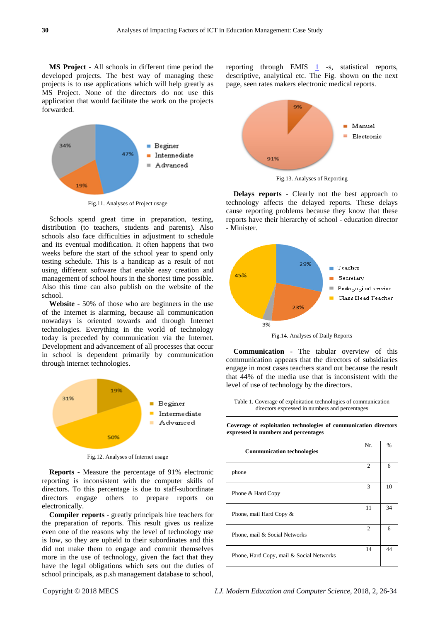**MS Project** - All schools in different time period the developed projects. The best way of managing these projects is to use applications which will help greatly as MS Project. None of the directors do not use this application that would facilitate the work on the projects forwarded.



Fig.11. Analyses of Project usage

Schools spend great time in preparation, testing, distribution (to teachers, students and parents). Also schools also face difficulties in adjustment to schedule and its eventual modification. It often happens that two weeks before the start of the school year to spend only testing schedule. This is a handicap as a result of not using different software that enable easy creation and management of school hours in the shortest time possible. Also this time can also publish on the website of the school.

**Website** - 50% of those who are beginners in the use of the Internet is alarming, because all communication nowadays is oriented towards and through Internet technologies. Everything in the world of technology today is preceded by communication via the Internet. Development and advancement of all processes that occur in school is dependent primarily by communication through internet technologies.



Fig.12. Analyses of Internet usage

**Reports** - Measure the percentage of 91% electronic reporting is inconsistent with the computer skills of directors. To this percentage is due to staff-subordinate directors engage others to prepare reports on electronically.

**Compiler reports** - greatly principals hire teachers for the preparation of reports. This result gives us realize even one of the reasons why the level of technology use is low, so they are upheld to their subordinates and this did not make them to engage and commit themselves more in the use of technology, given the fact that they have the legal obligations which sets out the duties of school principals, as p.sh management database to school,

reporting through EMIS  $\frac{1}{s}$  $\frac{1}{s}$  $\frac{1}{s}$  -s, statistical reports, descriptive, analytical etc. The Fig. shown on the next page, seen rates makers electronic medical reports.



Fig.13. Analyses of Reporting

**Delays reports** - Clearly not the best approach to technology affects the delayed reports. These delays cause reporting problems because they know that these reports have their hierarchy of school - education director - Minister.



Fig.14. Analyses of Daily Reports

**Communication** - The tabular overview of this communication appears that the directors of subsidiaries engage in most cases teachers stand out because the result that 44% of the media use that is inconsistent with the level of use of technology by the directors.

| Table 1. Coverage of exploitation technologies of communication |
|-----------------------------------------------------------------|
| directors expressed in numbers and percentages                  |

| Coverage of exploitation technologies of communication directors<br>expressed in numbers and percentages |     |               |  |  |  |  |
|----------------------------------------------------------------------------------------------------------|-----|---------------|--|--|--|--|
| <b>Communication technologies</b>                                                                        | Nr. | $\frac{0}{0}$ |  |  |  |  |
| phone                                                                                                    | 2   | 6             |  |  |  |  |
| Phone & Hard Copy                                                                                        | 3   | 10            |  |  |  |  |
| Phone, mail Hard Copy &                                                                                  | 11  | 34            |  |  |  |  |
| Phone, mail & Social Networks                                                                            | 2   | 6             |  |  |  |  |
| Phone, Hard Copy, mail & Social Networks                                                                 | 14  | 44            |  |  |  |  |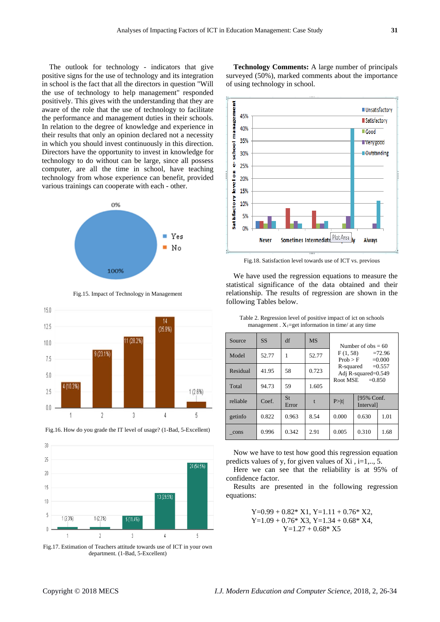The outlook for technology - indicators that give positive signs for the use of technology and its integration in school is the fact that all the directors in question "Will the use of technology to help management" responded positively. This gives with the understanding that they are aware of the role that the use of technology to facilitate the performance and management duties in their schools. In relation to the degree of knowledge and experience in their results that only an opinion declared not a necessity in which you should invest continuously in this direction. Directors have the opportunity to invest in knowledge for technology to do without can be large, since all possess computer, are all the time in school, have teaching technology from whose experience can benefit, provided various trainings can cooperate with each - other.



Fig.15. Impact of Technology in Management





Fig.16. How do you grade the IT level of usage? (1-Bad, 5-Excellent)

Fig.17. Estimation of Teachers attitude towards use of ICT in your own department. (1-Bad, 5-Excellent)

**Technology Comments:** A large number of principals surveyed (50%), marked comments about the importance of using technology in school.



Fig.18. Satisfaction level towards use of ICT vs. previous

We have used the regression equations to measure the statistical significance of the data obtained and their relationship. The results of regression are shown in the following Tables below.

| Source   | <b>SS</b> | df                 | <b>MS</b> | Number of $obs = 60$<br>F(1, 58)<br>$=72.96$<br>$=0.000$<br>Prob > F<br>R-squared $=0.557$<br>Adj R-squared=0.549 |                               |      |  |  |
|----------|-----------|--------------------|-----------|-------------------------------------------------------------------------------------------------------------------|-------------------------------|------|--|--|
| Model    | 52.77     | 1                  | 52.77     |                                                                                                                   |                               |      |  |  |
| Residual | 41.95     | 58                 | 0.723     |                                                                                                                   |                               |      |  |  |
| Total    | 94.73     | 59                 | 1.605     | Root MSE<br>$= 0.850$                                                                                             |                               |      |  |  |
| reliable | Coef.     | <b>St</b><br>Error | t         | P >  t                                                                                                            | [95% Conf.<br><b>Interval</b> |      |  |  |
| getinfo  | 0.822     | 0.963              | 8.54      | 0.000                                                                                                             | 0.630                         | 1.01 |  |  |
| cons     | 0.996     | 0.342              | 2.91      | 0.005                                                                                                             | 0.310                         | 1.68 |  |  |

Table 2. Regression level of positive impact of ict on schools management .  $X_1 = get$  information in time/ at any time

Now we have to test how good this regression equation predicts values of y, for given values of  $Xi$ , i=1,.., 5.

Here we can see that the reliability is at 95% of confidence factor.

Results are presented in the following regression equations:

> $Y=0.99 + 0.82* X1, Y=1.11 + 0.76* X2,$  $Y=1.09 + 0.76* X3$ ,  $Y=1.34 + 0.68* X4$ ,  $Y=1.27 + 0.68*$  X5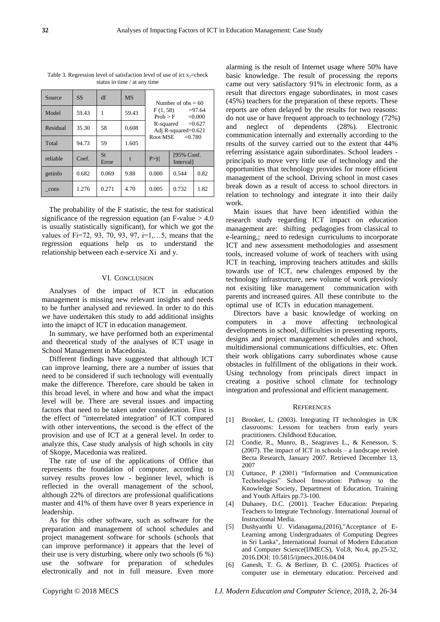| Source   | <b>SS</b> | df                 | <b>MS</b> | Number of $obs = 60$                          |                               |      |  |  |  |
|----------|-----------|--------------------|-----------|-----------------------------------------------|-------------------------------|------|--|--|--|
| Model    | 59.43     | 1                  | 59.43     | F(1, 58)<br>$= 97.64$<br>$=0.000$<br>Prob > F |                               |      |  |  |  |
| Residual | 35.30     | 58                 | 0.608     | $=0.627$<br>R-squared<br>Adj R-squared=0.621  |                               |      |  |  |  |
| Total    | 94.73     | 59                 | 1.605     | Root MSE<br>$= 0.780$                         |                               |      |  |  |  |
| reliable | Coef.     | <b>St</b><br>Error | t.        | P >  t                                        | [95% Conf.<br><b>Interval</b> |      |  |  |  |
| getinfo  | 0.682     | 0.069              | 9.88      | 0.000                                         | 0.544                         | 0.82 |  |  |  |
| cons     | 1.276     | 0.271              | 4.70      | 0.005                                         | 0.732                         | 1.82 |  |  |  |

Table 3. Regression level of satisfaction level of use of ict  $x_2$ =check status in time / at any time

The probability of the F statistic, the test for statistical significance of the regression equation (an F-value  $> 4.0$ is usually statistically significant), for which we got the values of Fi=72, 93, 70, 93, 97, i=1,…5, means that the regression equations help us to understand the relationship between each e-service Xi and y.

## VI. CONCLUSION

Analyses of the impact of ICT in education management is missing new relevant insights and needs to be further analysed and reviewed. In order to do this we have undertaken this study to add additional insights into the imapct of ICT in education management.

In summary, we have performed both an experimental and theoretical study of the analyses of ICT usage in School Management in Macedonia.

Different findings have suggested that although ICT can improve learning, there are a number of issues that need to be considered if such technology will eventually make the difference. Therefore, care should be taken in this broad level, in where and how and what the impact level will be. There are several issues and impacting factors that need to be taken under consideration. First is the effect of "interrelated integration" of ICT compared with other interventions, the second is the effect of the provision and use of ICT at a general level. In order to analyze this, Case study analysis of high schools in city of Skopje, Macedonia was realized.

The rate of use of the applications of Office that represents the foundation of computer, according to survey results proves low - beginner level, which is reflected in the overall management of the school, although 22% of directors are professional qualifications master and 41% of them have over 8 years experience in leadership.

As for this other software, such as software for the preparation and management of school schedules and project management software for schools (schools that can improve performance) it appears that the level of their use is very disturbing, where only two schools (6 %) use the software for preparation of schedules electronically and not in full measure. Even more

alarming is the result of Internet usage where 50% have basic knowledge. The result of processing the reports came out very satisfactory 91% in electronic form, as a result that directors engage subordinates, in most cases (45%) teachers for the preparation of these reports. These reports are often delayed by the results for two reasons: do not use or have frequent approach to technology (72%) and neglect of dependents (28%). Electronic communication internally and externally according to the results of the survey carried out to the extent that 44% referring assistance again subordinates. School leaders principals to move very little use of technology and the opportunities that technology provides for more efficient management of the school. Driving school in most cases break down as a result of access to school directors in relation to technology and integrate it into their daily work.

Main issues that have been identified within the research study regarding ICT impact on education management are: shifting pedagogies from classical to e-learning,; need to redesign curriculums to incorporate ICT and new assessment methodologies and assesment tools, increased volume of work of teachers with using ICT in teaching, improving teachers attitudes and skills towards use of ICT, new chalenges emposed by the technology infrastructure, new volume of work previosly not exisiting like management communication with parents and increased quires. All these contribute to the optimal use of ICTs in education management.

Directors have a basic knowledge of working on computers in a move affecting technological developments in school, difficulties in presenting reports, designs and project management schedules and school, multidimensional communications difficulties, etc. Often their work obligations carry subordinates whose cause obstacles in fulfillment of the obligations in their work. Using technology from principals direct impact in creating a positive school climate for technology integration and professional and efficient management.

#### **REFERENCES**

- [1] Brooker, L. (2003). Integrating IT technologies in UK classrooms: Lessons for teachers from early years practitioners. Childhood Education,
- [2] Condie, R., Munro, B., Seagraves L., & Kenesson, S. (2007). The impact of ICT in schools – a landscape revieë. Becta Research, January 2007. Retrieved December 13, 2007
- [3] Cuttance, P (2001) "Information and Communication Technologies" School Innovation: Pathway to the Knowledge Society, Department of Education, Training and Youth Affairs pp.73-100.
- [4] Duhaney, D.C. (2001). Teacher Education: Preparing Teachers to Integrate Technology. International Journal of Instructional Media.
- [5] Dushyanthi U. Vidanagama,(2016),"Acceptance of E-Learning among Undergraduates of Computing Degrees in Sri Lanka", International Journal of Modern Education and Computer Science(IJMECS), Vol.8, No.4, pp.25-32, 2016.DOI: 10.5815/ijmecs.2016.04.04
- [6] Ganesh, T. G. & Berliner, D. C. (2005). Practices of computer use in elementary education: Perceived and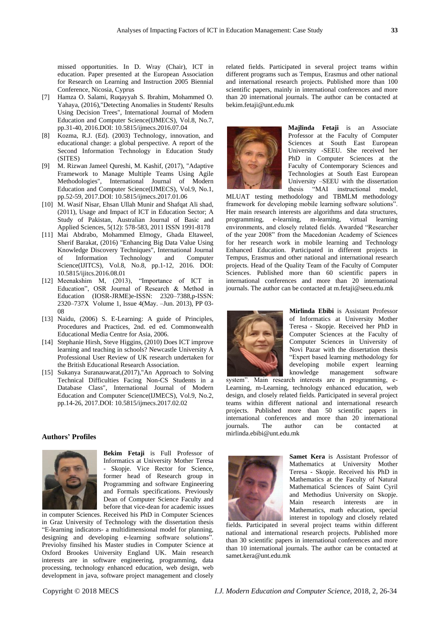missed opportunities. In D. Wray (Chair), ICT in education. Paper presented at the European Association for Research on Learning and Instruction 2005 Biennial Conference, Nicosia, Cyprus

- [7] Hamza O. Salami, Ruqayyah S. Ibrahim, Mohammed O. Yahaya, (2016),"Detecting Anomalies in Students' Results Using Decision Trees", International Journal of Modern Education and Computer Science(IJMECS), Vol.8, No.7, pp.31-40, 2016.DOI: 10.5815/ijmecs.2016.07.04
- [8] Kozma, R.J. (Ed). (2003) Technology, innovation, and educational change: a global perspective. A report of the Second Information Technology in Education Study (SITES)
- [9] M. Rizwan Jameel Qureshi, M. Kashif, (2017), "Adaptive Framework to Manage Multiple Teams Using Agile Methodologies", International Journal of Modern Education and Computer Science(IJMECS), Vol.9, No.1, pp.52-59, 2017.DOI: 10.5815/ijmecs.2017.01.06
- [10] M. Wasif Nisar, Ehsan Ullah Munir and Shafqat Ali shad, (2011), Usage and Impact of ICT in Education Sector; A Study of Pakistan, Australian Journal of Basic and Applied Sciences, 5(12): 578-583, 2011 ISSN 1991-8178
- [11] Mai Abdrabo, Mohammed Elmogy, Ghada Eltaweel, Sherif Barakat, (2016) "Enhancing Big Data Value Using Knowledge Discovery Techniques", International Journal of Information Technology and Computer Science(IJITCS), Vol.8, No.8, pp.1-12, 2016. DOI: 10.5815/ijitcs.2016.08.01
- [12] Meenakshim M, (2013), "Importance of ICT in Education", OSR Journal of Research & Method in Education (IOSR-JRME)e-ISSN: 2320–7388,p-ISSN: 2320–737X Volume 1, Issue 4(May. –Jun. 2013), PP 03- 08
- [13] Naidu, (2006) S. E-Learning: A guide of Principles, Procedures and Practices, 2nd. ed ed. Commonwealth Educational Media Centre for Asia, 2006.
- [14] Stephanie Hirsh, Steve Higgins, (2010) Does ICT improve learning and teaching in schools? Newcastle University A Professional User Review of UK research undertaken for the British Educational Research Association.
- [15] Sukanya Suranauwarat,(2017),"An Approach to Solving Technical Difficulties Facing Non-CS Students in a Database Class", International Journal of Modern Education and Computer Science(IJMECS), Vol.9, No.2, pp.14-26, 2017.DOI: 10.5815/ijmecs.2017.02.02

#### **Authors' Profiles**



**Bekim Fetaji** is Full Professor of Informatics at University Mother Teresa - Skopje. Vice Rector for Science, former head of Research group in Programming and software Engineering and Formals specifications. Previously Dean of Computer Science Faculty and before that vice-dean for academic issues

in computer Sciences. Received his PhD in Computer Sciences in Graz University of Technology with the dissertation thesis "E-learning indicators- a multidimensional model for planning, designing and developing e-learning software solutions". Previolsy finsihed his Master studies in Computer Science at Oxford Brookes University England UK. Main research interests are in software engineering, programming, data processing, technology enhanced education, web design, web development in java, software project management and closely

related fields. Participated in several project teams within different programs such as Tempus, Erasmus and other national and international research projects. Published more than 100 scientific papers, mainly in international conferences and more than 20 international journals. The author can be contacted at bekim.fetaji@unt.edu.mk



**Majlinda Fetaji** is an Associate Professor at the Faculty of Computer Sciences at South East European University -SEEU. She received her PhD in Computer Sciences at the Faculty of Contemporary Sciences and Technologies at South East European University –SEEU with the dissertation thesis "MAI instructional model,

MLUAT testing methodology and TBMLM methodology framework for developing mobile learning software solutions". Her main research interests are algorithms and data structures, programming, e-learning, m-learning, virtual learning environments, and closely related fields. Awarded "Researcher of the year 2008" from the Macedonian Academy of Sciences for her research work in mobile learning and Technology Enhanced Education. Participated in different projects in Tempus, Erasmus and other national and international research projects. Head of the Quality Team of the Faculty of Computer Sciences. Published more than 60 scientific papers in international conferences and more than 20 international journals. The author can be contacted at m.fetaji@seeu.edu.mk



**Mirlinda Ebibi** is Assistant Professor of Informatics at University Mother Teresa - Skopje. Received her PhD in Computer Sciences at the Faculty of Computer Sciences in University of Novi Pazar with the dissertation thesis "Expert based learning methodology for developing mobile expert learning knowledge management software

system". Main research interests are in programming, e-Learning, m-Learning, technology enhanced education, web design, and closely related fields. Participated in several project teams within different national and international research projects. Published more than 50 scientific papers in international conferences and more than 20 international journals. The author can be contacted at mirlinda.ebibi@unt.edu.mk



**Samet Kera** is Assistant Professor of Mathematics at University Mother Teresa - Skopje. Received his PhD in Mathematics at the Faculty of Natural Mathematical Sciences of Saint Cyril and Methodius University on Skopje. Main research interests are in Mathematics, math education, special interest in topology and closely related

fields. Participated in several project teams within different national and international research projects. Published more than 30 scientific papers in international conferences and more than 10 international journals. The author can be contacted at samet.kera@unt.edu.mk